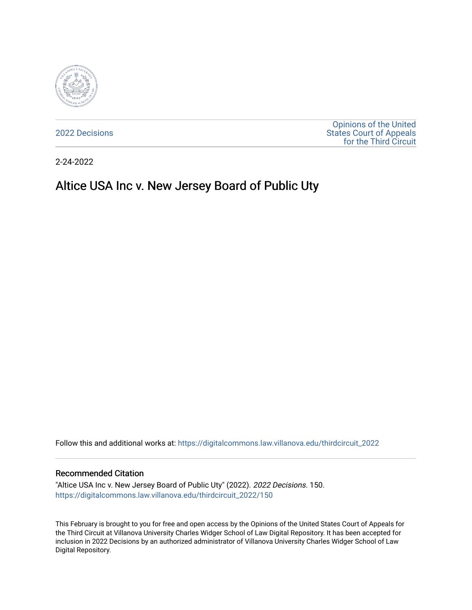

[2022 Decisions](https://digitalcommons.law.villanova.edu/thirdcircuit_2022)

[Opinions of the United](https://digitalcommons.law.villanova.edu/thirdcircuit)  [States Court of Appeals](https://digitalcommons.law.villanova.edu/thirdcircuit)  [for the Third Circuit](https://digitalcommons.law.villanova.edu/thirdcircuit) 

2-24-2022

# Altice USA Inc v. New Jersey Board of Public Uty

Follow this and additional works at: [https://digitalcommons.law.villanova.edu/thirdcircuit\\_2022](https://digitalcommons.law.villanova.edu/thirdcircuit_2022?utm_source=digitalcommons.law.villanova.edu%2Fthirdcircuit_2022%2F150&utm_medium=PDF&utm_campaign=PDFCoverPages) 

#### Recommended Citation

"Altice USA Inc v. New Jersey Board of Public Uty" (2022). 2022 Decisions. 150. [https://digitalcommons.law.villanova.edu/thirdcircuit\\_2022/150](https://digitalcommons.law.villanova.edu/thirdcircuit_2022/150?utm_source=digitalcommons.law.villanova.edu%2Fthirdcircuit_2022%2F150&utm_medium=PDF&utm_campaign=PDFCoverPages)

This February is brought to you for free and open access by the Opinions of the United States Court of Appeals for the Third Circuit at Villanova University Charles Widger School of Law Digital Repository. It has been accepted for inclusion in 2022 Decisions by an authorized administrator of Villanova University Charles Widger School of Law Digital Repository.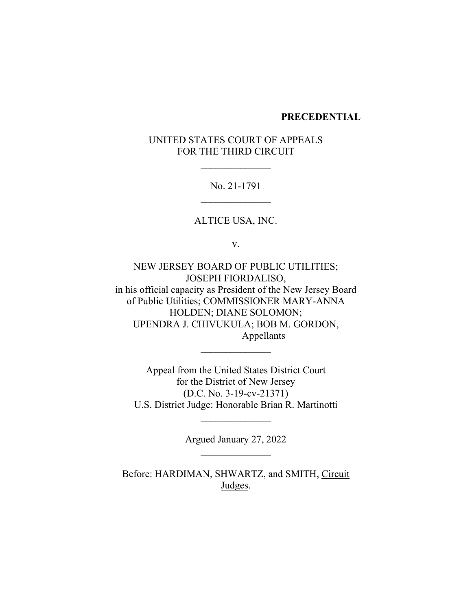### **PRECEDENTIAL**

# UNITED STATES COURT OF APPEALS FOR THE THIRD CIRCUIT

No. 21-1791

ALTICE USA, INC.

v.

NEW JERSEY BOARD OF PUBLIC UTILITIES; JOSEPH FIORDALISO, in his official capacity as President of the New Jersey Board of Public Utilities; COMMISSIONER MARY-ANNA HOLDEN; DIANE SOLOMON; UPENDRA J. CHIVUKULA; BOB M. GORDON, Appellants

Appeal from the United States District Court for the District of New Jersey (D.C. No. 3-19-cv-21371) U.S. District Judge: Honorable Brian R. Martinotti

> Argued January 27, 2022  $\frac{1}{2}$

 $\mathcal{L}_\text{max}$ 

Before: HARDIMAN, SHWARTZ, and SMITH, Circuit Judges.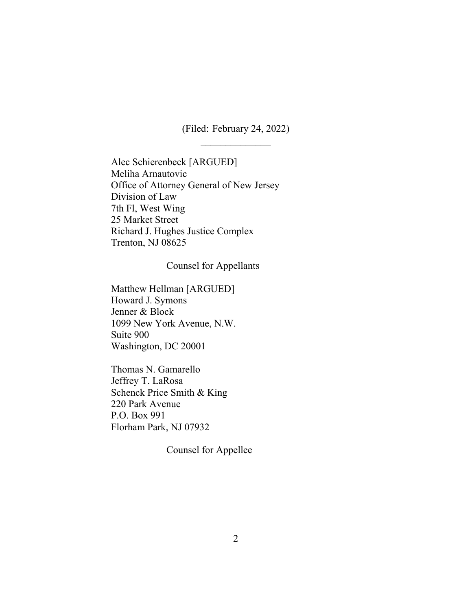(Filed: February 24, 2022)

Alec Schierenbeck [ARGUED] Meliha Arnautovic Office of Attorney General of New Jersey Division of Law 7th Fl, West Wing 25 Market Street Richard J. Hughes Justice Complex Trenton, NJ 08625

#### Counsel for Appellants

Matthew Hellman [ARGUED] Howard J. Symons Jenner & Block 1099 New York Avenue, N.W. Suite 900 Washington, DC 20001

Thomas N. Gamarello Jeffrey T. LaRosa Schenck Price Smith & King 220 Park Avenue P.O. Box 991 Florham Park, NJ 07932

Counsel for Appellee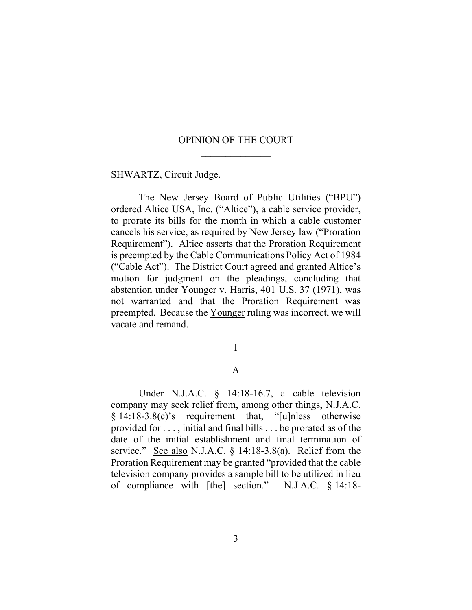## OPINION OF THE COURT

 $\frac{1}{2}$ 

SHWARTZ, Circuit Judge.

The New Jersey Board of Public Utilities ("BPU") ordered Altice USA, Inc. ("Altice"), a cable service provider, to prorate its bills for the month in which a cable customer cancels his service, as required by New Jersey law ("Proration Requirement"). Altice asserts that the Proration Requirement is preempted by the Cable Communications Policy Act of 1984 ("Cable Act"). The District Court agreed and granted Altice's motion for judgment on the pleadings, concluding that abstention under Younger v. Harris, 401 U.S. 37 (1971), was not warranted and that the Proration Requirement was preempted. Because the Younger ruling was incorrect, we will vacate and remand.

I

## A

Under N.J.A.C. § 14:18-16.7, a cable television company may seek relief from, among other things, N.J.A.C. § 14:18-3.8(c)'s requirement that, "[u]nless otherwise provided for . . . , initial and final bills . . . be prorated as of the date of the initial establishment and final termination of service." See also N.J.A.C. § 14:18-3.8(a). Relief from the Proration Requirement may be granted "provided that the cable television company provides a sample bill to be utilized in lieu of compliance with [the] section." N.J.A.C. § 14:18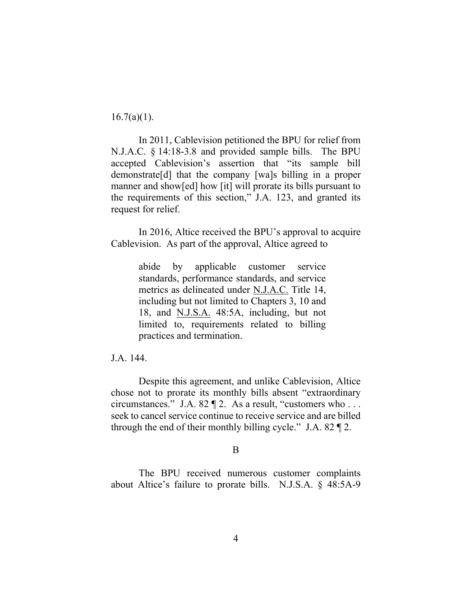$16.7(a)(1)$ .

In 2011, Cablevision petitioned the BPU for relief from N.J.A.C. § 14:18-3.8 and provided sample bills. The BPU accepted Cablevision's assertion that "its sample bill demonstrate[d] that the company [wa]s billing in a proper manner and show[ed] how [it] will prorate its bills pursuant to the requirements of this section," J.A. 123, and granted its request for relief.

In 2016, Altice received the BPU's approval to acquire Cablevision. As part of the approval, Altice agreed to

> abide by applicable customer service standards, performance standards, and service metrics as delineated under N.J.A.C. Title 14, including but not limited to Chapters 3, 10 and 18, and N.J.S.A. 48:5A, including, but not limited to, requirements related to billing practices and termination.

## J.A. 144.

Despite this agreement, and unlike Cablevision, Altice chose not to prorate its monthly bills absent "extraordinary circumstances." J.A. 82 ¶ 2. As a result, "customers who . . . seek to cancel service continue to receive service and are billed through the end of their monthly billing cycle." J.A.  $82 \text{ T}$ .

### B

The BPU received numerous customer complaints about Altice's failure to prorate bills. N.J.S.A. § 48:5A-9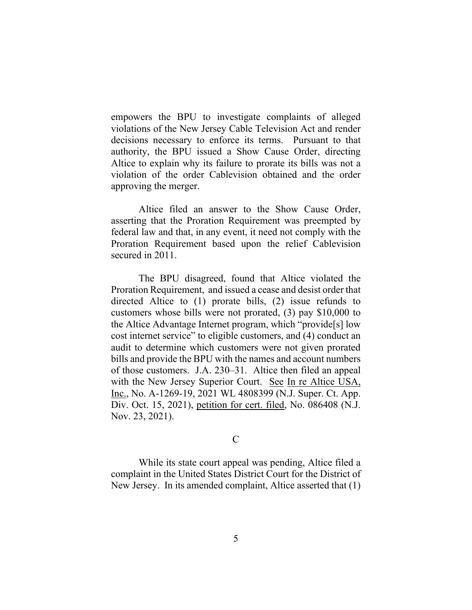empowers the BPU to investigate complaints of alleged violations of the New Jersey Cable Television Act and render decisions necessary to enforce its terms. Pursuant to that authority, the BPU issued a Show Cause Order, directing Altice to explain why its failure to prorate its bills was not a violation of the order Cablevision obtained and the order approving the merger.

Altice filed an answer to the Show Cause Order, asserting that the Proration Requirement was preempted by federal law and that, in any event, it need not comply with the Proration Requirement based upon the relief Cablevision secured in 2011.

The BPU disagreed, found that Altice violated the Proration Requirement, and issued a cease and desist order that directed Altice to (1) prorate bills, (2) issue refunds to customers whose bills were not prorated, (3) pay \$10,000 to the Altice Advantage Internet program, which "provide[s] low cost internet service" to eligible customers, and (4) conduct an audit to determine which customers were not given prorated bills and provide the BPU with the names and account numbers of those customers. J.A. 230–31. Altice then filed an appeal with the New Jersey Superior Court. See In re Altice USA, Inc., No. A-1269-19, 2021 WL 4808399 (N.J. Super. Ct. App. Div. Oct. 15, 2021), petition for cert. filed, No. 086408 (N.J. Nov. 23, 2021).

# C

While its state court appeal was pending, Altice filed a complaint in the United States District Court for the District of New Jersey. In its amended complaint, Altice asserted that (1)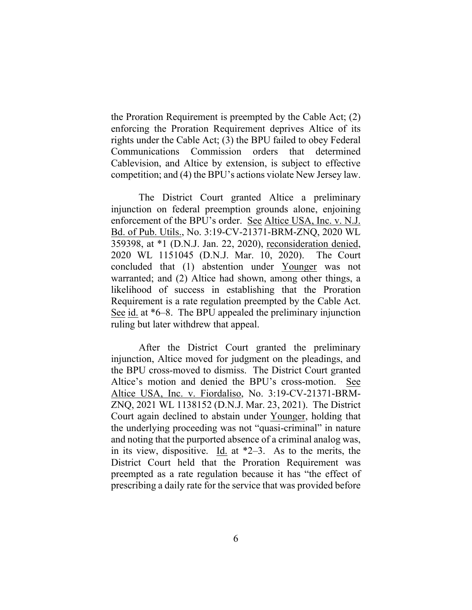the Proration Requirement is preempted by the Cable Act; (2) enforcing the Proration Requirement deprives Altice of its rights under the Cable Act; (3) the BPU failed to obey Federal Communications Commission orders that determined Cablevision, and Altice by extension, is subject to effective competition; and (4) the BPU's actions violate New Jersey law.

The District Court granted Altice a preliminary injunction on federal preemption grounds alone, enjoining enforcement of the BPU's order. See Altice USA, Inc. v. N.J. Bd. of Pub. Utils., No. 3:19-CV-21371-BRM-ZNQ, 2020 WL 359398, at \*1 (D.N.J. Jan. 22, 2020), reconsideration denied, 2020 WL 1151045 (D.N.J. Mar. 10, 2020). The Court concluded that (1) abstention under Younger was not warranted; and (2) Altice had shown, among other things, a likelihood of success in establishing that the Proration Requirement is a rate regulation preempted by the Cable Act. See id. at \*6–8. The BPU appealed the preliminary injunction ruling but later withdrew that appeal.

After the District Court granted the preliminary injunction, Altice moved for judgment on the pleadings, and the BPU cross-moved to dismiss. The District Court granted Altice's motion and denied the BPU's cross-motion. See Altice USA, Inc. v. Fiordaliso, No. 3:19-CV-21371-BRM-ZNQ, 2021 WL 1138152 (D.N.J. Mar. 23, 2021). The District Court again declined to abstain under Younger, holding that the underlying proceeding was not "quasi-criminal" in nature and noting that the purported absence of a criminal analog was, in its view, dispositive. Id. at \*2–3. As to the merits, the District Court held that the Proration Requirement was preempted as a rate regulation because it has "the effect of prescribing a daily rate for the service that was provided before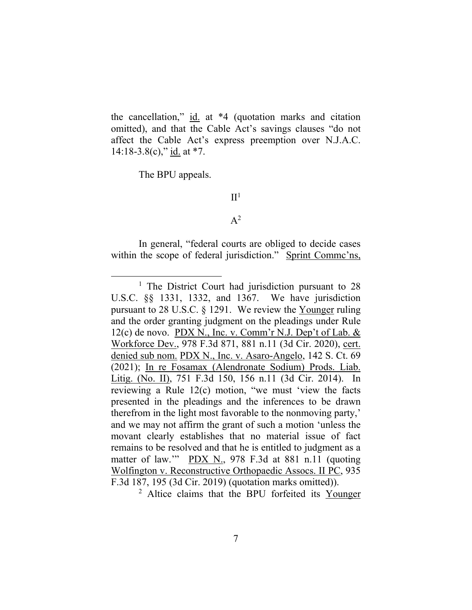the cancellation," id. at \*4 (quotation marks and citation omitted), and that the Cable Act's savings clauses "do not affect the Cable Act's express preemption over N.J.A.C.  $14:18-3.8(c)$ ," id. at \*7.

The BPU appeals.

# $II<sup>1</sup>$

## $A^2$

In general, "federal courts are obliged to decide cases within the scope of federal jurisdiction." Sprint Commc'ns,

<sup>2</sup> Altice claims that the BPU forfeited its Younger

<sup>&</sup>lt;sup>1</sup> The District Court had jurisdiction pursuant to 28 U.S.C. §§ 1331, 1332, and 1367. We have jurisdiction pursuant to 28 U.S.C. § 1291. We review the Younger ruling and the order granting judgment on the pleadings under Rule 12(c) de novo. PDX N., Inc. v. Comm'r N.J. Dep't of Lab. & Workforce Dev., 978 F.3d 871, 881 n.11 (3d Cir. 2020), cert. denied sub nom. PDX N., Inc. v. Asaro-Angelo, 142 S. Ct. 69 (2021); In re Fosamax (Alendronate Sodium) Prods. Liab. Litig. (No. II), 751 F.3d 150, 156 n.11 (3d Cir. 2014). In reviewing a Rule 12(c) motion, "we must 'view the facts presented in the pleadings and the inferences to be drawn therefrom in the light most favorable to the nonmoving party,' and we may not affirm the grant of such a motion 'unless the movant clearly establishes that no material issue of fact remains to be resolved and that he is entitled to judgment as a matter of law." PDX N., 978 F.3d at 881 n.11 (quoting Wolfington v. Reconstructive Orthopaedic Assocs. II PC, 935 F.3d 187, 195 (3d Cir. 2019) (quotation marks omitted)).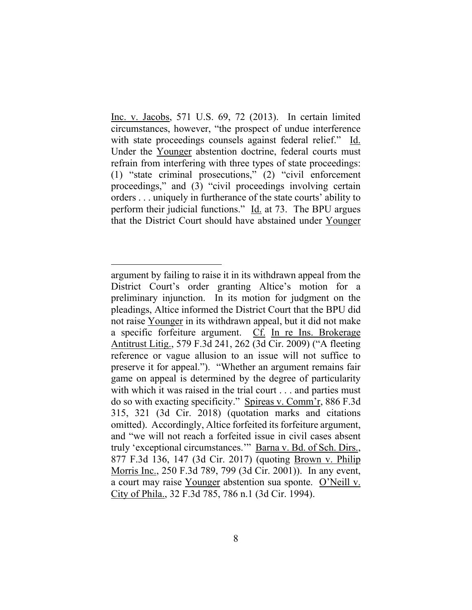Inc. v. Jacobs, 571 U.S. 69, 72 (2013). In certain limited circumstances, however, "the prospect of undue interference with state proceedings counsels against federal relief." Id. Under the Younger abstention doctrine, federal courts must refrain from interfering with three types of state proceedings: (1) "state criminal prosecutions," (2) "civil enforcement proceedings," and (3) "civil proceedings involving certain orders . . . uniquely in furtherance of the state courts' ability to perform their judicial functions." Id. at 73. The BPU argues that the District Court should have abstained under Younger

argument by failing to raise it in its withdrawn appeal from the District Court's order granting Altice's motion for a preliminary injunction. In its motion for judgment on the pleadings, Altice informed the District Court that the BPU did not raise Younger in its withdrawn appeal, but it did not make a specific forfeiture argument. Cf. In re Ins. Brokerage Antitrust Litig., 579 F.3d 241, 262 (3d Cir. 2009) ("A fleeting reference or vague allusion to an issue will not suffice to preserve it for appeal."). "Whether an argument remains fair game on appeal is determined by the degree of particularity with which it was raised in the trial court . . . and parties must do so with exacting specificity." Spireas v. Comm'r, 886 F.3d 315, 321 (3d Cir. 2018) (quotation marks and citations omitted). Accordingly, Altice forfeited its forfeiture argument, and "we will not reach a forfeited issue in civil cases absent truly 'exceptional circumstances.'" Barna v. Bd. of Sch. Dirs., 877 F.3d 136, 147 (3d Cir. 2017) (quoting Brown v. Philip Morris Inc., 250 F.3d 789, 799 (3d Cir. 2001)). In any event, a court may raise Younger abstention sua sponte. O'Neill v. City of Phila., 32 F.3d 785, 786 n.1 (3d Cir. 1994).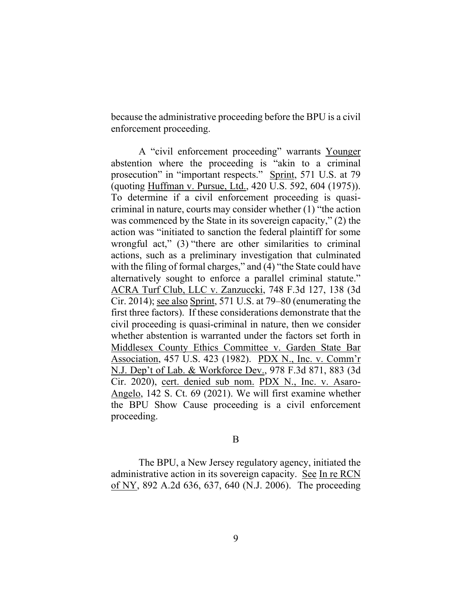because the administrative proceeding before the BPU is a civil enforcement proceeding.

A "civil enforcement proceeding" warrants Younger abstention where the proceeding is "akin to a criminal prosecution" in "important respects." Sprint, 571 U.S. at 79 (quoting Huffman v. Pursue, Ltd., 420 U.S. 592, 604 (1975)). To determine if a civil enforcement proceeding is quasicriminal in nature, courts may consider whether (1) "the action was commenced by the State in its sovereign capacity," (2) the action was "initiated to sanction the federal plaintiff for some wrongful act," (3) "there are other similarities to criminal actions, such as a preliminary investigation that culminated with the filing of formal charges," and (4) "the State could have alternatively sought to enforce a parallel criminal statute." ACRA Turf Club, LLC v. Zanzuccki, 748 F.3d 127, 138 (3d Cir. 2014); see also Sprint, 571 U.S. at 79–80 (enumerating the first three factors). If these considerations demonstrate that the civil proceeding is quasi-criminal in nature, then we consider whether abstention is warranted under the factors set forth in Middlesex County Ethics Committee v. Garden State Bar Association, 457 U.S. 423 (1982). PDX N., Inc. v. Comm'r N.J. Dep't of Lab. & Workforce Dev., 978 F.3d 871, 883 (3d Cir. 2020), cert. denied sub nom. PDX N., Inc. v. Asaro-Angelo, 142 S. Ct. 69 (2021). We will first examine whether the BPU Show Cause proceeding is a civil enforcement proceeding.

### B

The BPU, a New Jersey regulatory agency, initiated the administrative action in its sovereign capacity. See In re RCN of NY, 892 A.2d 636, 637, 640 (N.J. 2006). The proceeding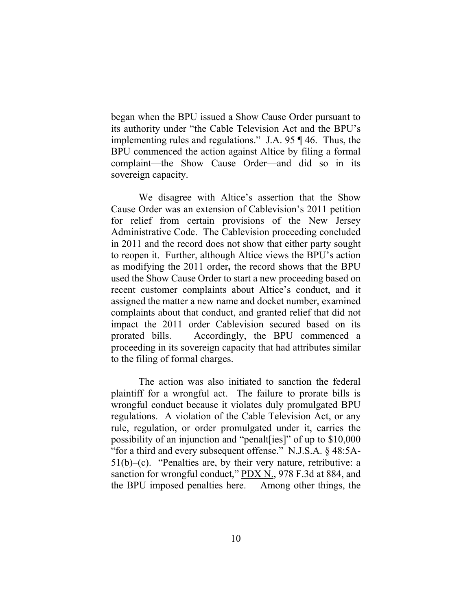began when the BPU issued a Show Cause Order pursuant to its authority under "the Cable Television Act and the BPU's implementing rules and regulations." J.A. 95 ¶ 46. Thus, the BPU commenced the action against Altice by filing a formal complaint—the Show Cause Order—and did so in its sovereign capacity.

We disagree with Altice's assertion that the Show Cause Order was an extension of Cablevision's 2011 petition for relief from certain provisions of the New Jersey Administrative Code. The Cablevision proceeding concluded in 2011 and the record does not show that either party sought to reopen it. Further, although Altice views the BPU's action as modifying the 2011 order**,** the record shows that the BPU used the Show Cause Order to start a new proceeding based on recent customer complaints about Altice's conduct, and it assigned the matter a new name and docket number, examined complaints about that conduct, and granted relief that did not impact the 2011 order Cablevision secured based on its prorated bills. Accordingly, the BPU commenced a proceeding in its sovereign capacity that had attributes similar to the filing of formal charges.

The action was also initiated to sanction the federal plaintiff for a wrongful act. The failure to prorate bills is wrongful conduct because it violates duly promulgated BPU regulations. A violation of the Cable Television Act, or any rule, regulation, or order promulgated under it, carries the possibility of an injunction and "penalt[ies]" of up to \$10,000 "for a third and every subsequent offense." N.J.S.A. § 48:5A- $51(b)$ –(c). "Penalties are, by their very nature, retributive: a sanction for wrongful conduct," PDX N., 978 F.3d at 884, and the BPU imposed penalties here. Among other things, the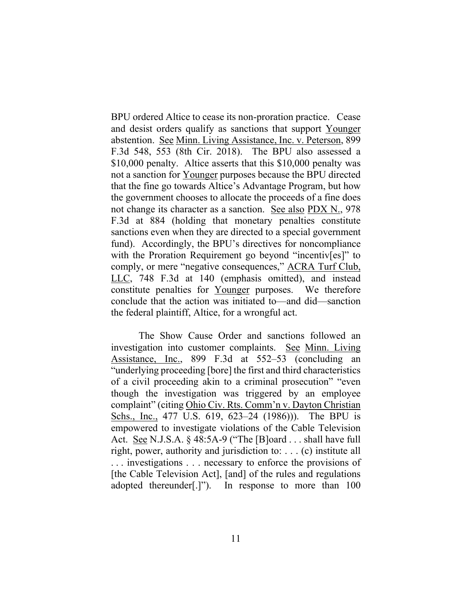BPU ordered Altice to cease its non-proration practice. Cease and desist orders qualify as sanctions that support Younger abstention. See Minn. Living Assistance, Inc. v. Peterson, 899 F.3d 548, 553 (8th Cir. 2018). The BPU also assessed a \$10,000 penalty. Altice asserts that this \$10,000 penalty was not a sanction for Younger purposes because the BPU directed that the fine go towards Altice's Advantage Program, but how the government chooses to allocate the proceeds of a fine does not change its character as a sanction. See also PDX N., 978 F.3d at 884 (holding that monetary penalties constitute sanctions even when they are directed to a special government fund). Accordingly, the BPU's directives for noncompliance with the Proration Requirement go beyond "incentivers]" to comply, or mere "negative consequences," ACRA Turf Club, LLC, 748 F.3d at 140 (emphasis omitted), and instead constitute penalties for Younger purposes. We therefore conclude that the action was initiated to—and did—sanction the federal plaintiff, Altice, for a wrongful act.

The Show Cause Order and sanctions followed an investigation into customer complaints. See Minn. Living Assistance, Inc., 899 F.3d at 552–53 (concluding an "underlying proceeding [bore] the first and third characteristics of a civil proceeding akin to a criminal prosecution" "even though the investigation was triggered by an employee complaint" (citing Ohio Civ. Rts. Comm'n v. Dayton Christian Schs., Inc., 477 U.S. 619, 623–24 (1986))). The BPU is empowered to investigate violations of the Cable Television Act. <u>See</u> N.J.S.A.  $\S$  48:5A-9 ("The [B]oard ... shall have full right, power, authority and jurisdiction to: . . . (c) institute all . . . investigations . . . necessary to enforce the provisions of [the Cable Television Act], [and] of the rules and regulations adopted thereunder[.]"). In response to more than 100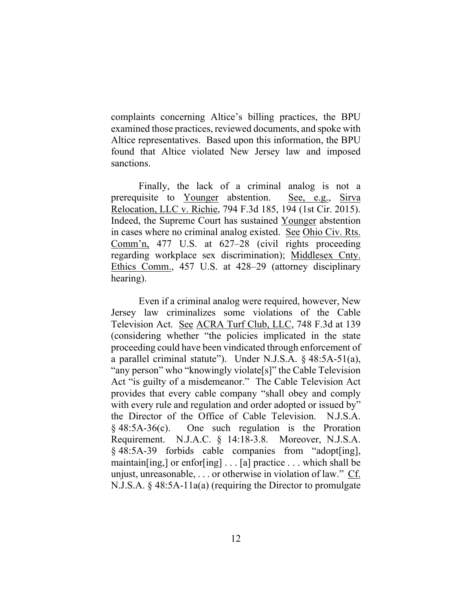complaints concerning Altice's billing practices, the BPU examined those practices, reviewed documents, and spoke with Altice representatives. Based upon this information, the BPU found that Altice violated New Jersey law and imposed sanctions.

Finally, the lack of a criminal analog is not a prerequisite to Younger abstention. See, e.g., Sirva Relocation, LLC v. Richie, 794 F.3d 185, 194 (1st Cir. 2015). Indeed, the Supreme Court has sustained Younger abstention in cases where no criminal analog existed. See Ohio Civ. Rts. Comm'n, 477 U.S. at 627–28 (civil rights proceeding regarding workplace sex discrimination); Middlesex Cnty. Ethics Comm., 457 U.S. at 428–29 (attorney disciplinary hearing).

Even if a criminal analog were required, however, New Jersey law criminalizes some violations of the Cable Television Act. See ACRA Turf Club, LLC, 748 F.3d at 139 (considering whether "the policies implicated in the state proceeding could have been vindicated through enforcement of a parallel criminal statute"). Under N.J.S.A. § 48:5A-51(a), "any person" who "knowingly violate[s]" the Cable Television Act "is guilty of a misdemeanor." The Cable Television Act provides that every cable company "shall obey and comply with every rule and regulation and order adopted or issued by" the Director of the Office of Cable Television. N.J.S.A. § 48:5A-36(c). One such regulation is the Proration Requirement. N.J.A.C. § 14:18-3.8. Moreover, N.J.S.A. § 48:5A-39 forbids cable companies from "adopt[ing], maintain [ing,] or enfor [ing]  $\ldots$  [a] practice  $\ldots$  which shall be unjust, unreasonable, . . . or otherwise in violation of law." Cf. N.J.S.A. § 48:5A-11a(a) (requiring the Director to promulgate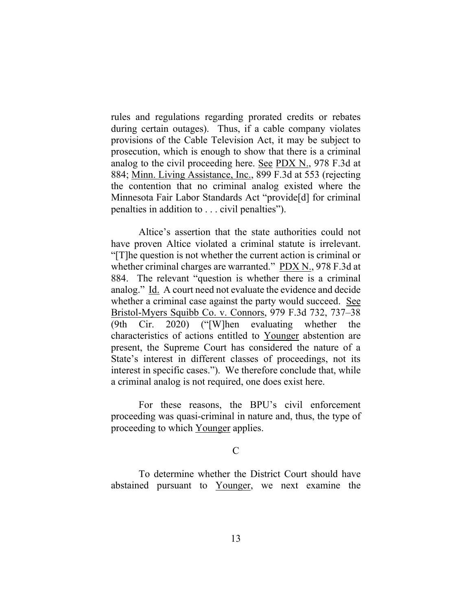rules and regulations regarding prorated credits or rebates during certain outages). Thus, if a cable company violates provisions of the Cable Television Act, it may be subject to prosecution, which is enough to show that there is a criminal analog to the civil proceeding here. See PDX N., 978 F.3d at 884; Minn. Living Assistance, Inc., 899 F.3d at 553 (rejecting the contention that no criminal analog existed where the Minnesota Fair Labor Standards Act "provide[d] for criminal penalties in addition to . . . civil penalties").

Altice's assertion that the state authorities could not have proven Altice violated a criminal statute is irrelevant. "[T]he question is not whether the current action is criminal or whether criminal charges are warranted." PDX N., 978 F.3d at 884. The relevant "question is whether there is a criminal analog." Id. A court need not evaluate the evidence and decide whether a criminal case against the party would succeed. See Bristol-Myers Squibb Co. v. Connors, 979 F.3d 732, 737–38 (9th Cir. 2020) ("[W]hen evaluating whether the characteristics of actions entitled to Younger abstention are present, the Supreme Court has considered the nature of a State's interest in different classes of proceedings, not its interest in specific cases."). We therefore conclude that, while a criminal analog is not required, one does exist here.

For these reasons, the BPU's civil enforcement proceeding was quasi-criminal in nature and, thus, the type of proceeding to which Younger applies.

 $\mathcal{C}$ 

To determine whether the District Court should have abstained pursuant to Younger, we next examine the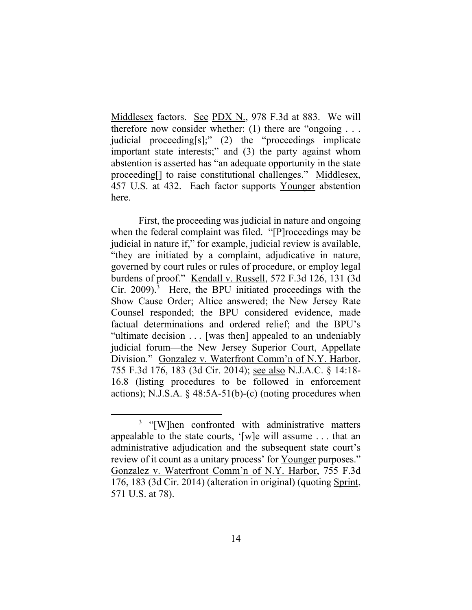Middlesex factors. See PDX N., 978 F.3d at 883. We will therefore now consider whether: (1) there are "ongoing  $\dots$ judicial proceeding[s];" (2) the "proceedings implicate important state interests;" and (3) the party against whom abstention is asserted has "an adequate opportunity in the state proceeding[] to raise constitutional challenges." Middlesex, 457 U.S. at 432. Each factor supports Younger abstention here.

First, the proceeding was judicial in nature and ongoing when the federal complaint was filed. "[P]roceedings may be judicial in nature if," for example, judicial review is available, "they are initiated by a complaint, adjudicative in nature, governed by court rules or rules of procedure, or employ legal burdens of proof." Kendall v. Russell, 572 F.3d 126, 131 (3d Cir. 2009). 3 Here, the BPU initiated proceedings with the Show Cause Order; Altice answered; the New Jersey Rate Counsel responded; the BPU considered evidence, made factual determinations and ordered relief; and the BPU's "ultimate decision . . . [was then] appealed to an undeniably judicial forum—the New Jersey Superior Court, Appellate Division." Gonzalez v. Waterfront Comm'n of N.Y. Harbor, 755 F.3d 176, 183 (3d Cir. 2014); see also N.J.A.C. § 14:18- 16.8 (listing procedures to be followed in enforcement actions); N.J.S.A.  $\S$  48:5A-51(b)-(c) (noting procedures when

<sup>&</sup>lt;sup>3</sup> "[W]hen confronted with administrative matters appealable to the state courts, '[w]e will assume . . . that an administrative adjudication and the subsequent state court's review of it count as a unitary process' for Younger purposes." Gonzalez v. Waterfront Comm'n of N.Y. Harbor, 755 F.3d 176, 183 (3d Cir. 2014) (alteration in original) (quoting Sprint, 571 U.S. at 78).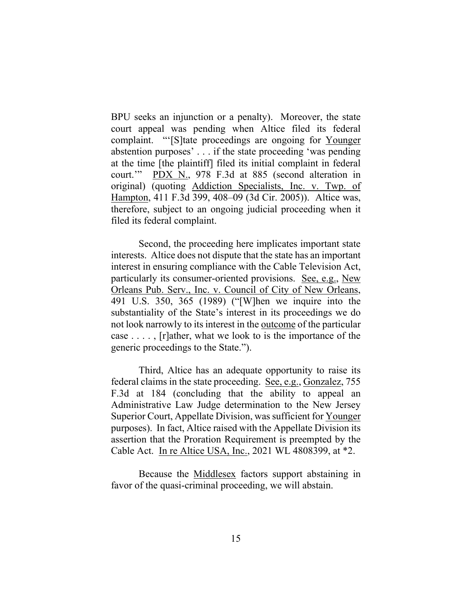BPU seeks an injunction or a penalty). Moreover, the state court appeal was pending when Altice filed its federal complaint. "'[S]tate proceedings are ongoing for Younger abstention purposes' . . . if the state proceeding 'was pending at the time [the plaintiff] filed its initial complaint in federal court.'" PDX N., 978 F.3d at 885 (second alteration in original) (quoting Addiction Specialists, Inc. v. Twp. of Hampton, 411 F.3d 399, 408–09 (3d Cir. 2005)). Altice was, therefore, subject to an ongoing judicial proceeding when it filed its federal complaint.

Second, the proceeding here implicates important state interests. Altice does not dispute that the state has an important interest in ensuring compliance with the Cable Television Act, particularly its consumer-oriented provisions. See, e.g., New Orleans Pub. Serv., Inc. v. Council of City of New Orleans, 491 U.S. 350, 365 (1989) ("[W]hen we inquire into the substantiality of the State's interest in its proceedings we do not look narrowly to its interest in the outcome of the particular case . . . . , [r]ather, what we look to is the importance of the generic proceedings to the State.").

Third, Altice has an adequate opportunity to raise its federal claims in the state proceeding. See, e.g., Gonzalez, 755 F.3d at 184 (concluding that the ability to appeal an Administrative Law Judge determination to the New Jersey Superior Court, Appellate Division, was sufficient for Younger purposes). In fact, Altice raised with the Appellate Division its assertion that the Proration Requirement is preempted by the Cable Act. In re Altice USA, Inc., 2021 WL 4808399, at \*2.

Because the Middlesex factors support abstaining in favor of the quasi-criminal proceeding, we will abstain.